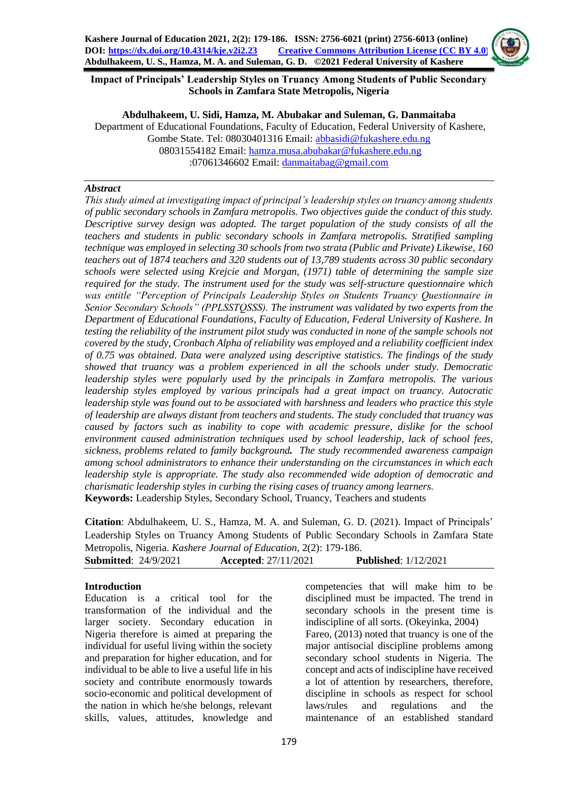

**Impact of Principals' Leadership Styles on Truancy Among Students of Public Secondary Schools in Zamfara State Metropolis, Nigeria** 

#### **Abdulhakeem, U. Sidi, Hamza, M. Abubakar and Suleman, G. Danmaitaba**

Department of Educational Foundations, Faculty of Education, Federal University of Kashere, Gombe State. Tel: 08030401316 Email: [abbasidi@fukashere.edu.ng](mailto:abbasidi@fukashere.edu.ng) 08031554182 Email: [hamza.musa.abubakar@fukashere.edu.ng](mailto:hamza.musa.abubakar@fukashere.edu.ng) :07061346602 Email: [danmaitabag@gmail.com](mailto:danmaitabag@gmail.com)

## *Abstract*

*This study aimed at investigating impact of principal's leadership styles on truancy among students of public secondary schools in Zamfara metropolis. Two objectives guide the conduct of this study. Descriptive survey design was adopted. The target population of the study consists of all the teachers and students in public secondary schools in Zamfara metropolis. Stratified sampling technique was employed in selecting 30 schools from two strata (Public and Private) Likewise, 160 teachers out of 1874 teachers and 320 students out of 13,789 students across 30 public secondary schools were selected using Krejcie and Morgan, (1971) table of determining the sample size required for the study. The instrument used for the study was self-structure questionnaire which was entitle "Perception of Principals Leadership Styles on Students Truancy Questionnaire in Senior Secondary Schools" (PPLSSTQSSS). The instrument was validated by two experts from the Department of Educational Foundations, Faculty of Education, Federal University of Kashere. In testing the reliability of the instrument pilot study was conducted in none of the sample schools not covered by the study, Cronbach Alpha of reliability was employed and a reliability coefficient index of 0.75 was obtained. Data were analyzed using descriptive statistics. The findings of the study showed that truancy was a problem experienced in all the schools under study. Democratic leadership styles were popularly used by the principals in Zamfara metropolis. The various leadership styles employed by various principals had a great impact on truancy. Autocratic leadership style was found out to be associated with harshness and leaders who practice this style of leadership are always distant from teachers and students. The study concluded that truancy was caused by factors such as inability to cope with academic pressure, dislike for the school environment caused administration techniques used by school leadership, lack of school fees, sickness, problems related to family background. The study recommended awareness campaign among school administrators to enhance their understanding on the circumstances in which each leadership style is appropriate. The study also recommended wide adoption of democratic and charismatic leadership styles in curbing the rising cases of truancy among learners.* **Keywords:** Leadership Styles, Secondary School, Truancy, Teachers and students

**Citation**: Abdulhakeem, U. S., Hamza, M. A. and Suleman, G. D. (2021). Impact of Principals' Leadership Styles on Truancy Among Students of Public Secondary Schools in Zamfara State Metropolis, Nigeria. *Kashere Journal of Education*, 2(2): 179-186.

| <b>Submitted: 24/9/2021</b> | <b>Accepted:</b> $27/11/2021$ | <b>Published:</b> 1/12/2021 |
|-----------------------------|-------------------------------|-----------------------------|

## **Introduction**

Education is a critical tool for the transformation of the individual and the larger society. Secondary education in Nigeria therefore is aimed at preparing the individual for useful living within the society and preparation for higher education, and for individual to be able to live a useful life in his society and contribute enormously towards socio-economic and political development of the nation in which he/she belongs, relevant skills, values, attitudes, knowledge and

competencies that will make him to be disciplined must be impacted. The trend in secondary schools in the present time is indiscipline of all sorts. (Okeyinka, 2004) Fareo, (2013) noted that truancy is one of the major antisocial discipline problems among secondary school students in Nigeria. The concept and acts of indiscipline have received a lot of attention by researchers, therefore, discipline in schools as respect for school laws/rules and regulations and the maintenance of an established standard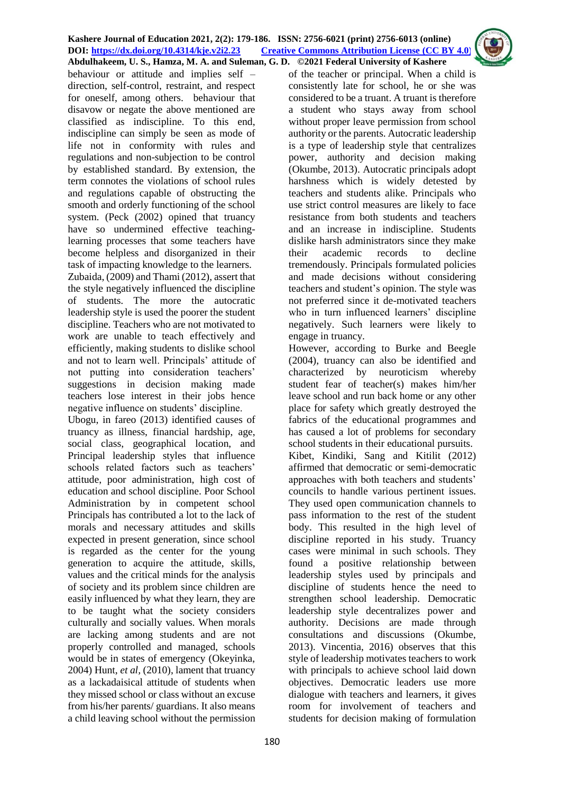behaviour or attitude and implies self – direction, self-control, restraint, and respect for oneself, among others. behaviour that disavow or negate the above mentioned are classified as indiscipline. To this end, indiscipline can simply be seen as mode of life not in conformity with rules and regulations and non-subjection to be control by established standard. By extension, the term connotes the violations of school rules and regulations capable of obstructing the smooth and orderly functioning of the school system. (Peck (2002) opined that truancy have so undermined effective teachinglearning processes that some teachers have become helpless and disorganized in their task of impacting knowledge to the learners. Zubaida, (2009) and Thami (2012), assert that the style negatively influenced the discipline of students. The more the autocratic leadership style is used the poorer the student discipline. Teachers who are not motivated to work are unable to teach effectively and efficiently, making students to dislike school and not to learn well. Principals' attitude of not putting into consideration teachers' suggestions in decision making made teachers lose interest in their jobs hence negative influence on students' discipline.

Ubogu, in fareo (2013) identified causes of truancy as illness, financial hardship, age, social class, geographical location, and Principal leadership styles that influence schools related factors such as teachers' attitude, poor administration, high cost of education and school discipline. Poor School Administration by in competent school Principals has contributed a lot to the lack of morals and necessary attitudes and skills expected in present generation, since school is regarded as the center for the young generation to acquire the attitude, skills, values and the critical minds for the analysis of society and its problem since children are easily influenced by what they learn, they are to be taught what the society considers culturally and socially values. When morals are lacking among students and are not properly controlled and managed, schools would be in states of emergency (Okeyinka, 2004) Hunt, *et al,* (2010), lament that truancy as a lackadaisical attitude of students when they missed school or class without an excuse from his/her parents/ guardians. It also means a child leaving school without the permission

of the teacher or principal. When a child is consistently late for school, he or she was considered to be a truant. A truant is therefore a student who stays away from school without proper leave permission from school authority or the parents. Autocratic leadership is a type of leadership style that centralizes power, authority and decision making (Okumbe, 2013). Autocratic principals adopt harshness which is widely detested by teachers and students alike. Principals who use strict control measures are likely to face resistance from both students and teachers and an increase in indiscipline. Students dislike harsh administrators since they make their academic records to decline tremendously. Principals formulated policies and made decisions without considering teachers and student's opinion. The style was not preferred since it de-motivated teachers who in turn influenced learners' discipline negatively. Such learners were likely to engage in truancy.

However, according to Burke and Beegle (2004), truancy can also be identified and characterized by neuroticism whereby student fear of teacher(s) makes him/her leave school and run back home or any other place for safety which greatly destroyed the fabrics of the educational programmes and has caused a lot of problems for secondary school students in their educational pursuits. Kibet, Kindiki, Sang and Kitilit (2012) affirmed that democratic or semi-democratic approaches with both teachers and students' councils to handle various pertinent issues. They used open communication channels to pass information to the rest of the student body. This resulted in the high level of discipline reported in his study. Truancy cases were minimal in such schools. They found a positive relationship between leadership styles used by principals and discipline of students hence the need to strengthen school leadership. Democratic leadership style decentralizes power and authority. Decisions are made through consultations and discussions (Okumbe, 2013). Vincentia, 2016) observes that this style of leadership motivates teachers to work with principals to achieve school laid down objectives. Democratic leaders use more dialogue with teachers and learners, it gives room for involvement of teachers and students for decision making of formulation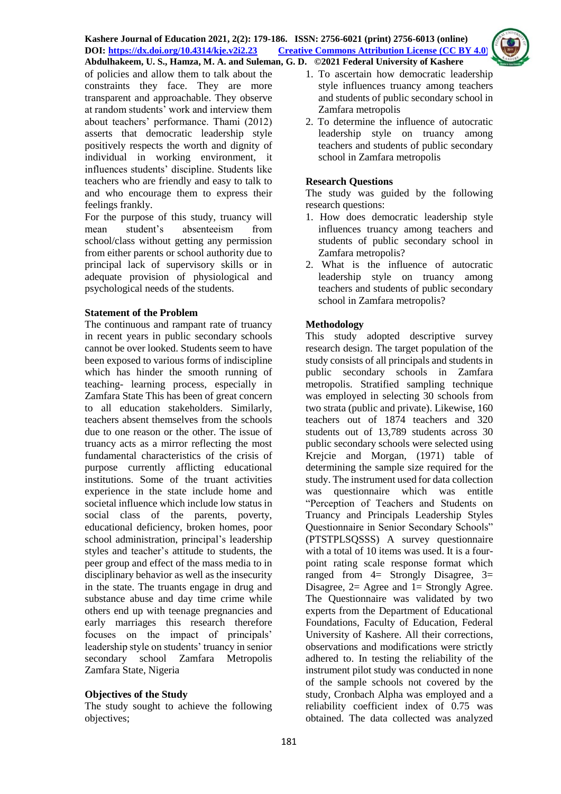of policies and allow them to talk about the constraints they face. They are more transparent and approachable. They observe at random students' work and interview them about teachers' performance. Thami (2012) asserts that democratic leadership style positively respects the worth and dignity of individual in working environment, it influences students' discipline. Students like teachers who are friendly and easy to talk to and who encourage them to express their feelings frankly.

For the purpose of this study, truancy will mean student's absenteeism from school/class without getting any permission from either parents or school authority due to principal lack of supervisory skills or in adequate provision of physiological and psychological needs of the students.

## **Statement of the Problem**

The continuous and rampant rate of truancy in recent years in public secondary schools cannot be over looked. Students seem to have been exposed to various forms of indiscipline which has hinder the smooth running of teaching- learning process, especially in Zamfara State This has been of great concern to all education stakeholders. Similarly, teachers absent themselves from the schools due to one reason or the other. The issue of truancy acts as a mirror reflecting the most fundamental characteristics of the crisis of purpose currently afflicting educational institutions. Some of the truant activities experience in the state include home and societal influence which include low status in social class of the parents, poverty, educational deficiency, broken homes, poor school administration, principal's leadership styles and teacher's attitude to students, the peer group and effect of the mass media to in disciplinary behavior as well as the insecurity in the state. The truants engage in drug and substance abuse and day time crime while others end up with teenage pregnancies and early marriages this research therefore focuses on the impact of principals' leadership style on students' truancy in senior secondary school Zamfara Metropolis Zamfara State, Nigeria

## **Objectives of the Study**

The study sought to achieve the following objectives;

- 1. To ascertain how democratic leadership style influences truancy among teachers and students of public secondary school in Zamfara metropolis
- 2. To determine the influence of autocratic leadership style on truancy among teachers and students of public secondary school in Zamfara metropolis

# **Research Questions**

The study was guided by the following research questions:

- 1. How does democratic leadership style influences truancy among teachers and students of public secondary school in Zamfara metropolis?
- 2. What is the influence of autocratic leadership style on truancy among teachers and students of public secondary school in Zamfara metropolis?

# **Methodology**

This study adopted descriptive survey research design. The target population of the study consists of all principals and students in public secondary schools in Zamfara metropolis. Stratified sampling technique was employed in selecting 30 schools from two strata (public and private). Likewise, 160 teachers out of 1874 teachers and 320 students out of 13,789 students across 30 public secondary schools were selected using Krejcie and Morgan, (1971) table of determining the sample size required for the study. The instrument used for data collection was questionnaire which was entitle "Perception of Teachers and Students on Truancy and Principals Leadership Styles Questionnaire in Senior Secondary Schools" (PTSTPLSQSSS) A survey questionnaire with a total of 10 items was used. It is a fourpoint rating scale response format which ranged from  $4=$  Strongly Disagree,  $3=$ Disagree,  $2=$  Agree and  $1=$  Strongly Agree. The Questionnaire was validated by two experts from the Department of Educational Foundations, Faculty of Education, Federal University of Kashere. All their corrections, observations and modifications were strictly adhered to. In testing the reliability of the instrument pilot study was conducted in none of the sample schools not covered by the study, Cronbach Alpha was employed and a reliability coefficient index of 0.75 was obtained. The data collected was analyzed

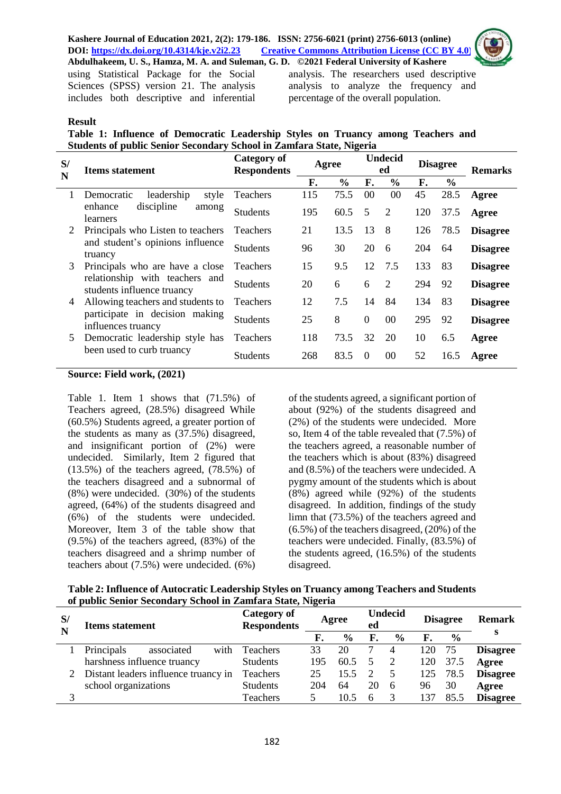#### **Kashere Journal of Education 2021, 2(2): 179-186. ISSN: 2756-6021 (print) 2756-6013 (online) DOI: <https://dx.doi.org/10.4314/kje.v2i2.23> [Creative Commons Attribution License](http://creativecommons.org/licenses/by/4.0/) (CC BY 4.0) Abdulhakeem, U. S., Hamza, M. A. and Suleman, G. D. ©2021 Federal University of Kashere**

using Statistical Package for the Social Sciences (SPSS) version 21. The analysis includes both descriptive and inferential

analysis. The researchers used descriptive analysis to analyze the frequency and percentage of the overall population.

## **Result**

**Table 1: Influence of Democratic Leadership Styles on Truancy among Teachers and Students of public Senior Secondary School in Zamfara State, Nigeria** 

| S/<br>N | <b>Items statement</b>                                       | <b>Category of</b><br><b>Respondents</b> | Agree |               |                | <b>Undecid</b><br>ed |     | <b>Disagree</b> | <b>Remarks</b>  |
|---------|--------------------------------------------------------------|------------------------------------------|-------|---------------|----------------|----------------------|-----|-----------------|-----------------|
|         |                                                              |                                          | F.    | $\frac{6}{6}$ | F.             | $\frac{6}{6}$        | F.  | $\frac{0}{0}$   |                 |
| 1       | leadership<br>style<br>Democratic                            | Teachers                                 | 115   | 75.5          | 00             | 00                   | 45  | 28.5            | Agree           |
|         | discipline<br>enhance<br>among<br>learners                   | <b>Students</b>                          | 195   | 60.5          | 5              | 2                    | 120 | 37.5            | Agree           |
| 2       | Principals who Listen to teachers                            | <b>Teachers</b>                          | 21    | 13.5          | 13             | 8                    | 126 | 78.5            | <b>Disagree</b> |
|         | and student's opinions influence<br>truancy                  | <b>Students</b>                          | 96    | 30            | 20             | 6                    | 204 | 64              | <b>Disagree</b> |
| 3       | Principals who are have a close                              | <b>Teachers</b>                          | 15    | 9.5           | 12             | 7.5                  | 133 | 83              | <b>Disagree</b> |
|         | relationship with teachers and<br>students influence truancy | <b>Students</b>                          | 20    | 6             | 6              | $\overline{2}$       | 294 | 92              | <b>Disagree</b> |
| 4       | Allowing teachers and students to                            | <b>Teachers</b>                          | 12    | 7.5           | 14             | 84                   | 134 | 83              | <b>Disagree</b> |
|         | participate in decision making<br>influences truancy         | <b>Students</b>                          | 25    | 8             | $\overline{0}$ | $00\,$               | 295 | 92              | <b>Disagree</b> |
| 5       | Democratic leadership style has                              | <b>Teachers</b>                          | 118   | 73.5          | 32             | 20                   | 10  | 6.5             | Agree           |
|         | been used to curb truancy                                    | <b>Students</b>                          | 268   | 83.5          | $\Omega$       | 00                   | 52  | 16.5            | Agree           |

#### **Source: Field work, (2021)**

Table 1. Item 1 shows that (71.5%) of Teachers agreed, (28.5%) disagreed While (60.5%) Students agreed, a greater portion of the students as many as (37.5%) disagreed, and insignificant portion of (2%) were undecided. Similarly, Item 2 figured that  $(13.5\%)$  of the teachers agreed,  $(78.5\%)$  of the teachers disagreed and a subnormal of (8%) were undecided. (30%) of the students agreed, (64%) of the students disagreed and (6%) of the students were undecided. Moreover, Item 3 of the table show that (9.5%) of the teachers agreed, (83%) of the teachers disagreed and a shrimp number of teachers about (7.5%) were undecided. (6%) of the students agreed, a significant portion of about (92%) of the students disagreed and (2%) of the students were undecided. More so, Item 4 of the table revealed that (7.5%) of the teachers agreed, a reasonable number of the teachers which is about (83%) disagreed and (8.5%) of the teachers were undecided. A pygmy amount of the students which is about (8%) agreed while (92%) of the students disagreed. In addition, findings of the study limn that (73.5%) of the teachers agreed and (6.5%) of the teachers disagreed, (20%) of the teachers were undecided. Finally, (83.5%) of the students agreed, (16.5%) of the students disagreed.

|  | Table 2: Influence of Autocratic Leadership Styles on Truancy among Teachers and Students |  |  |
|--|-------------------------------------------------------------------------------------------|--|--|
|  | of public Senior Secondary School in Zamfara State, Nigeria                               |  |  |

| S/ | <b>Items statement</b>               | <b>Category of</b><br><b>Respondents</b> | Agree |               | <b>Undecid</b><br>ed |               | <b>Disagree</b> |               | <b>Remark</b>   |
|----|--------------------------------------|------------------------------------------|-------|---------------|----------------------|---------------|-----------------|---------------|-----------------|
|    |                                      |                                          | F.    | $\frac{6}{9}$ | F.                   | $\frac{0}{0}$ | F.              | $\frac{6}{6}$ | S               |
|    | Principals<br>with<br>associated     | <b>Teachers</b>                          | 33    | 20            |                      | 4             | 120             | 75            | <b>Disagree</b> |
|    | harshness influence truancy          | <b>Students</b>                          | 195   | 60.5          |                      |               | 120             | 37.5          | Agree           |
|    | Distant leaders influence truancy in | Teachers                                 | 25    | 15.5          |                      |               | 125             | 78.5          | <b>Disagree</b> |
|    | school organizations                 | <b>Students</b>                          | 204   | 64            | 20                   | 6             | 96              | 30            | Agree           |
|    |                                      | Teachers                                 |       | 10.5          | h                    |               | 137             | 85.5          | <b>Disagree</b> |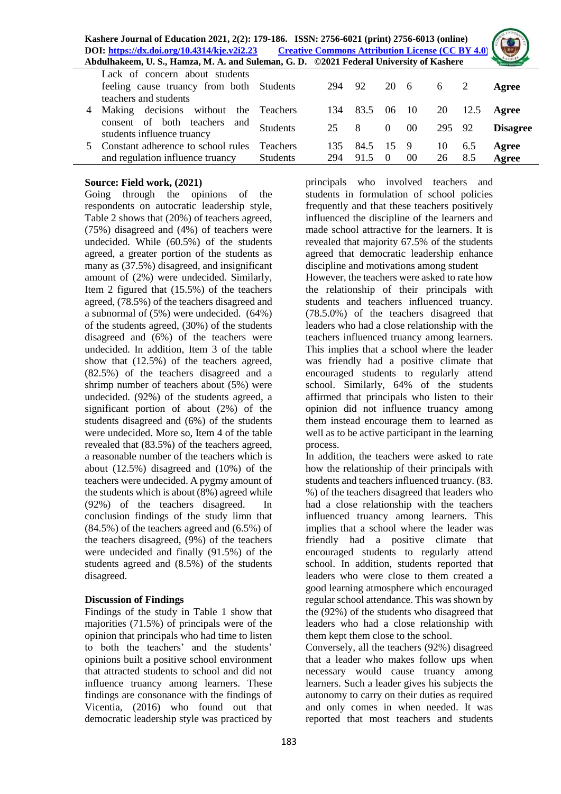

|   | Lack of concern about students           |                 |     |         |          |                 |           |      |                 |
|---|------------------------------------------|-----------------|-----|---------|----------|-----------------|-----------|------|-----------------|
|   | feeling cause truancy from both Students |                 | 294 | 92      |          | 20 6 6 2        |           |      | Agree           |
|   | teachers and students                    |                 |     |         |          |                 |           |      |                 |
| 4 | Making decisions without the Teachers    |                 | 134 | 83.5    | 06 10    |                 | <b>20</b> | 12.5 | Agree           |
|   | consent of both teachers<br>and          | <b>Students</b> | 25  | 8       | $\Omega$ | 00 <sup>°</sup> | 295 92    |      | <b>Disagree</b> |
|   | students influence truancy               |                 |     |         |          |                 |           |      |                 |
|   | Constant adherence to school rules       | <b>Teachers</b> | 135 | 84.5 15 |          | - 9             | 10        | 6.5  | Agree           |
|   | and regulation influence truancy         | <b>Students</b> | 294 | 91.5    | $\Omega$ | 00              | 26        | 8.5  | Agree           |
|   |                                          |                 |     |         |          |                 |           |      |                 |

## **Source: Field work, (2021)**

Going through the opinions of the respondents on autocratic leadership style, Table 2 shows that (20%) of teachers agreed, (75%) disagreed and (4%) of teachers were undecided. While (60.5%) of the students agreed, a greater portion of the students as many as (37.5%) disagreed, and insignificant amount of (2%) were undecided. Similarly, Item 2 figured that (15.5%) of the teachers agreed, (78.5%) of the teachers disagreed and a subnormal of (5%) were undecided. (64%) of the students agreed, (30%) of the students disagreed and (6%) of the teachers were undecided. In addition, Item 3 of the table show that (12.5%) of the teachers agreed, (82.5%) of the teachers disagreed and a shrimp number of teachers about (5%) were undecided. (92%) of the students agreed, a significant portion of about (2%) of the students disagreed and (6%) of the students were undecided. More so, Item 4 of the table revealed that (83.5%) of the teachers agreed, a reasonable number of the teachers which is about (12.5%) disagreed and (10%) of the teachers were undecided. A pygmy amount of the students which is about (8%) agreed while (92%) of the teachers disagreed. In conclusion findings of the study limn that (84.5%) of the teachers agreed and (6.5%) of the teachers disagreed, (9%) of the teachers were undecided and finally (91.5%) of the students agreed and (8.5%) of the students disagreed.

## **Discussion of Findings**

Findings of the study in Table 1 show that majorities (71.5%) of principals were of the opinion that principals who had time to listen to both the teachers' and the students' opinions built a positive school environment that attracted students to school and did not influence truancy among learners. These findings are consonance with the findings of Vicentia, (2016) who found out that democratic leadership style was practiced by

principals who involved teachers and students in formulation of school policies frequently and that these teachers positively influenced the discipline of the learners and made school attractive for the learners. It is revealed that majority 67.5% of the students agreed that democratic leadership enhance discipline and motivations among student However, the teachers were asked to rate how the relationship of their principals with students and teachers influenced truancy. (78.5.0%) of the teachers disagreed that leaders who had a close relationship with the teachers influenced truancy among learners. This implies that a school where the leader was friendly had a positive climate that encouraged students to regularly attend school. Similarly, 64% of the students affirmed that principals who listen to their opinion did not influence truancy among them instead encourage them to learned as well as to be active participant in the learning process.

In addition, the teachers were asked to rate how the relationship of their principals with students and teachers influenced truancy. (83. %) of the teachers disagreed that leaders who had a close relationship with the teachers influenced truancy among learners. This implies that a school where the leader was friendly had a positive climate that encouraged students to regularly attend school. In addition, students reported that leaders who were close to them created a good learning atmosphere which encouraged regular school attendance. This was shown by the (92%) of the students who disagreed that leaders who had a close relationship with them kept them close to the school.

Conversely, all the teachers (92%) disagreed that a leader who makes follow ups when necessary would cause truancy among learners. Such a leader gives his subjects the autonomy to carry on their duties as required and only comes in when needed. It was reported that most teachers and students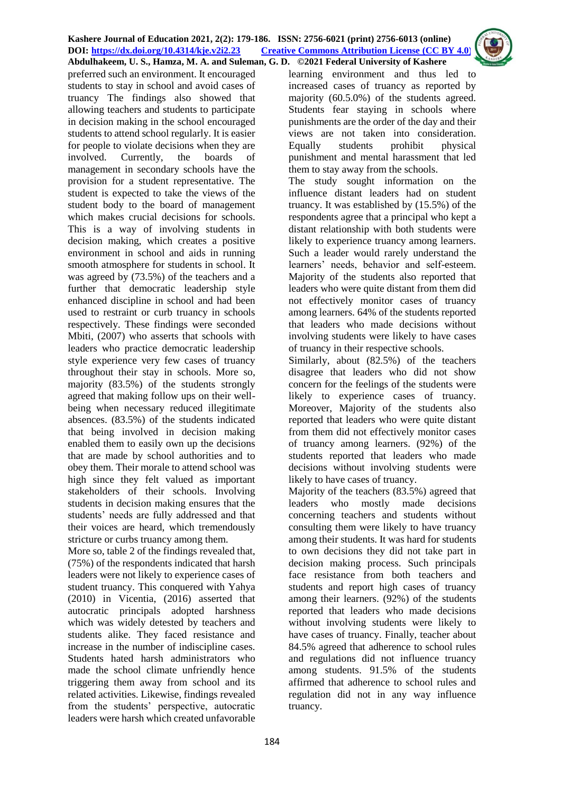preferred such an environment. It encouraged students to stay in school and avoid cases of truancy The findings also showed that allowing teachers and students to participate in decision making in the school encouraged students to attend school regularly. It is easier for people to violate decisions when they are involved. Currently, the boards of management in secondary schools have the provision for a student representative. The student is expected to take the views of the student body to the board of management which makes crucial decisions for schools. This is a way of involving students in decision making, which creates a positive environment in school and aids in running smooth atmosphere for students in school. It was agreed by (73.5%) of the teachers and a further that democratic leadership style enhanced discipline in school and had been used to restraint or curb truancy in schools respectively. These findings were seconded Mbiti, (2007) who asserts that schools with leaders who practice democratic leadership style experience very few cases of truancy throughout their stay in schools. More so, majority (83.5%) of the students strongly agreed that making follow ups on their wellbeing when necessary reduced illegitimate absences. (83.5%) of the students indicated that being involved in decision making enabled them to easily own up the decisions that are made by school authorities and to obey them. Their morale to attend school was high since they felt valued as important stakeholders of their schools. Involving students in decision making ensures that the students' needs are fully addressed and that their voices are heard, which tremendously stricture or curbs truancy among them.

More so, table 2 of the findings revealed that, (75%) of the respondents indicated that harsh leaders were not likely to experience cases of student truancy. This conquered with Yahya (2010) in Vicentia, (2016) asserted that autocratic principals adopted harshness which was widely detested by teachers and students alike. They faced resistance and increase in the number of indiscipline cases. Students hated harsh administrators who made the school climate unfriendly hence triggering them away from school and its related activities. Likewise, findings revealed from the students' perspective, autocratic leaders were harsh which created unfavorable

learning environment and thus led to increased cases of truancy as reported by majority (60.5.0%) of the students agreed. Students fear staying in schools where punishments are the order of the day and their views are not taken into consideration. Equally students prohibit physical punishment and mental harassment that led them to stay away from the schools.

The study sought information on the influence distant leaders had on student truancy. It was established by (15.5%) of the respondents agree that a principal who kept a distant relationship with both students were likely to experience truancy among learners. Such a leader would rarely understand the learners' needs, behavior and self-esteem. Majority of the students also reported that leaders who were quite distant from them did not effectively monitor cases of truancy among learners. 64% of the students reported that leaders who made decisions without involving students were likely to have cases of truancy in their respective schools.

Similarly, about (82.5%) of the teachers disagree that leaders who did not show concern for the feelings of the students were likely to experience cases of truancy. Moreover, Majority of the students also reported that leaders who were quite distant from them did not effectively monitor cases of truancy among learners. (92%) of the students reported that leaders who made decisions without involving students were likely to have cases of truancy.

Majority of the teachers (83.5%) agreed that leaders who mostly made decisions concerning teachers and students without consulting them were likely to have truancy among their students. It was hard for students to own decisions they did not take part in decision making process. Such principals face resistance from both teachers and students and report high cases of truancy among their learners. (92%) of the students reported that leaders who made decisions without involving students were likely to have cases of truancy. Finally, teacher about 84.5% agreed that adherence to school rules and regulations did not influence truancy among students. 91.5% of the students affirmed that adherence to school rules and regulation did not in any way influence truancy.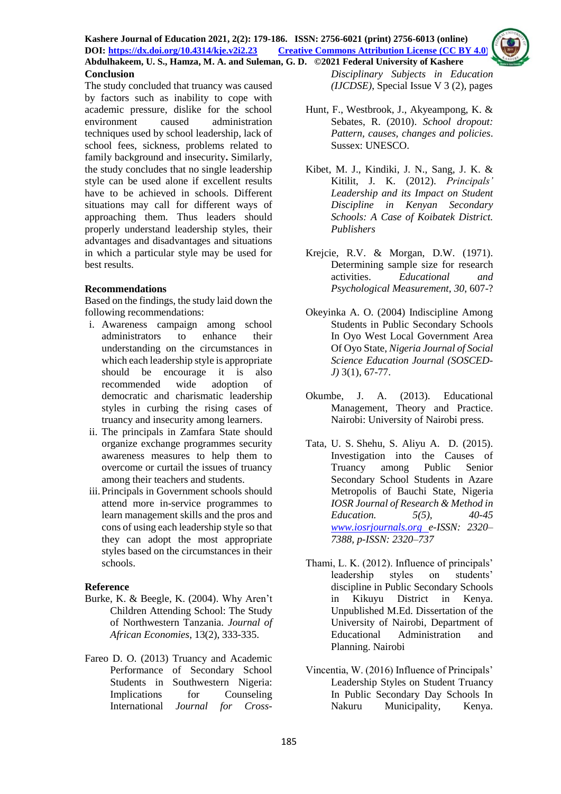

The study concluded that truancy was caused by factors such as inability to cope with academic pressure, dislike for the school environment caused administration techniques used by school leadership, lack of school fees, sickness, problems related to family background and insecurity**.** Similarly, the study concludes that no single leadership style can be used alone if excellent results have to be achieved in schools. Different situations may call for different ways of approaching them. Thus leaders should properly understand leadership styles, their advantages and disadvantages and situations in which a particular style may be used for best results.

## **Recommendations**

Based on the findings, the study laid down the following recommendations:

- i. Awareness campaign among school administrators to enhance their understanding on the circumstances in which each leadership style is appropriate should be encourage it is also recommended wide adoption of democratic and charismatic leadership styles in curbing the rising cases of truancy and insecurity among learners.
- ii. The principals in Zamfara State should organize exchange programmes security awareness measures to help them to overcome or curtail the issues of truancy among their teachers and students.
- iii.Principals in Government schools should attend more in-service programmes to learn management skills and the pros and cons of using each leadership style so that they can adopt the most appropriate styles based on the circumstances in their schools.

## **Reference**

- Burke, K. & Beegle, K. (2004). Why Aren't Children Attending School: The Study of Northwestern Tanzania. *Journal of African Economies*, 13(2), 333-335.
- Fareo D. O. (2013) Truancy and Academic Performance of Secondary School Students in Southwestern Nigeria: Implications for Counseling International *Journal for Cross-*

*Disciplinary Subjects in Education (IJCDSE)*, Special Issue V 3 (2), pages

- Hunt, F., Westbrook, J., Akyeampong, K. & Sebates, R. (2010). *School dropout: Pattern, causes, changes and policies*. Sussex: UNESCO.
- Kibet, M. J., Kindiki, J. N., Sang, J. K. & Kitilit, J. K. (2012). *Principals' Leadership and its Impact on Student Discipline in Kenyan Secondary Schools: A Case of Koibatek District. Publishers*
- Krejcie, R.V. & Morgan, D.W. (1971). Determining sample size for research activities. *Educational and Psychological Measurement*, *30*, 607-?
- Okeyinka A. O. (2004) Indiscipline Among Students in Public Secondary Schools In Oyo West Local Government Area Of Oyo State, *Nigeria Journal of Social Science Education Journal (SOSCED-J)* 3(1), 67-77.
- Okumbe, J. A. (2013). Educational Management, Theory and Practice. Nairobi: University of Nairobi press.
- Tata, U. S. Shehu, S. Aliyu A. D. (2015). Investigation into the Causes of Truancy among Public Senior Secondary School Students in Azare Metropolis of Bauchi State, Nigeria *IOSR Journal of Research & Method in Education. 5(5), 40-45 [www.iosrjournals.org](http://www.iosrjournals.org/) e-ISSN: 2320– 7388, p-ISSN: 2320–737*
- Thami, L. K. (2012). Influence of principals' leadership styles on students' discipline in Public Secondary Schools in Kikuyu District in Kenya. Unpublished M.Ed. Dissertation of the University of Nairobi, Department of Educational Administration and Planning. Nairobi
- Vincentia, W. (2016) Influence of Principals' Leadership Styles on Student Truancy In Public Secondary Day Schools In Nakuru Municipality, Kenya.